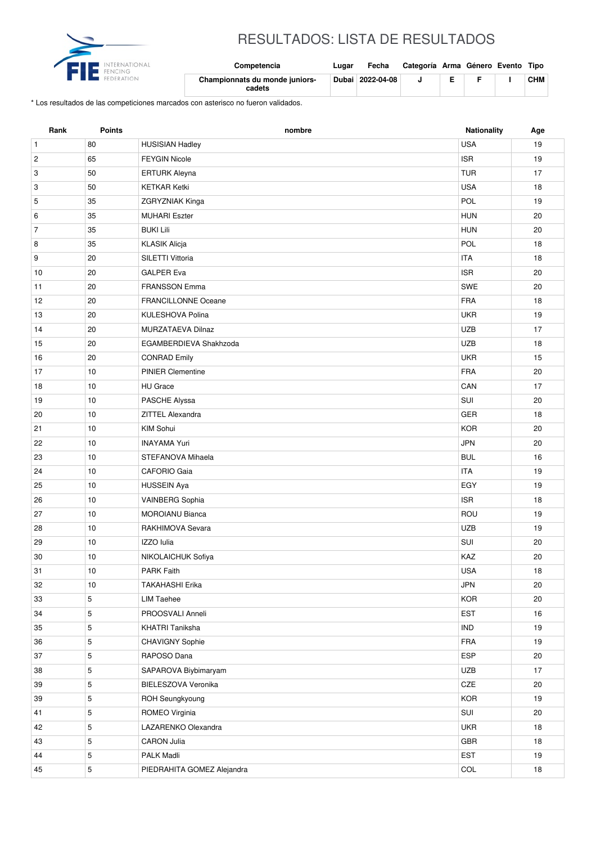

## RESULTADOS: LISTA DE RESULTADOS

| Competencia                              | Lugar | Fecha            | Categoría Arma Género Evento Tipo |  |            |
|------------------------------------------|-------|------------------|-----------------------------------|--|------------|
| Championnats du monde juniors-<br>cadets |       | Dubai 2022-04-08 |                                   |  | <b>CHM</b> |

\* Los resultados de las competiciones marcados con asterisco no fueron validados.

| Rank           | <b>Points</b> | nombre                     | Nationality | Age |
|----------------|---------------|----------------------------|-------------|-----|
| $\mathbf{1}$   | 80            | <b>HUSISIAN Hadley</b>     | <b>USA</b>  | 19  |
| $\overline{c}$ | 65            | <b>FEYGIN Nicole</b>       | <b>ISR</b>  | 19  |
| 3              | 50            | <b>ERTURK Aleyna</b>       | <b>TUR</b>  | 17  |
| 3              | 50            | <b>KETKAR Ketki</b>        | <b>USA</b>  | 18  |
| 5              | 35            | <b>ZGRYZNIAK Kinga</b>     | POL         | 19  |
| 6              | 35            | <b>MUHARI Eszter</b>       | <b>HUN</b>  | 20  |
| $\overline{7}$ | 35            | <b>BUKI Lili</b>           | <b>HUN</b>  | 20  |
| 8              | 35            | <b>KLASIK Alicja</b>       | POL         | 18  |
| 9              | 20            | SILETTI Vittoria           | <b>ITA</b>  | 18  |
| 10             | 20            | <b>GALPER Eva</b>          | <b>ISR</b>  | 20  |
| 11             | 20            | <b>FRANSSON Emma</b>       | SWE         | 20  |
| 12             | 20            | <b>FRANCILLONNE Oceane</b> | <b>FRA</b>  | 18  |
| 13             | 20            | KULESHOVA Polina           | <b>UKR</b>  | 19  |
| 14             | 20            | MURZATAEVA Dilnaz          | <b>UZB</b>  | 17  |
| 15             | 20            | EGAMBERDIEVA Shakhzoda     | <b>UZB</b>  | 18  |
| 16             | 20            | <b>CONRAD Emily</b>        | <b>UKR</b>  | 15  |
| 17             | 10            | <b>PINIER Clementine</b>   | <b>FRA</b>  | 20  |
| 18             | 10            | <b>HU</b> Grace            | CAN         | 17  |
| 19             | 10            | PASCHE Alyssa              | SUI         | 20  |
| 20             | 10            | ZITTEL Alexandra           | GER         | 18  |
| 21             | 10            | KIM Sohui                  | <b>KOR</b>  | 20  |
| 22             | 10            | <b>INAYAMA Yuri</b>        | <b>JPN</b>  | 20  |
| 23             | 10            | STEFANOVA Mihaela          | <b>BUL</b>  | 16  |
| 24             | 10            | <b>CAFORIO Gaia</b>        | <b>ITA</b>  | 19  |
| 25             | 10            | <b>HUSSEIN Aya</b>         | EGY         | 19  |
| 26             | 10            | <b>VAINBERG Sophia</b>     | <b>ISR</b>  | 18  |
| 27             | 10            | <b>MOROIANU Bianca</b>     | ROU         | 19  |
| 28             | 10            | RAKHIMOVA Sevara           | <b>UZB</b>  | 19  |
| 29             | 10            | IZZO Iulia                 | SUI         | 20  |
| 30             | 10            | NIKOLAICHUK Sofiya         | KAZ         | 20  |
| 31             | $10$          | PARK Faith                 | <b>USA</b>  | 18  |
| 32             | 10            | <b>TAKAHASHI Erika</b>     | <b>JPN</b>  | 20  |
| 33             | 5             | <b>LIM Taehee</b>          | KOR         | 20  |
| 34             | 5             | PROOSVALI Anneli           | <b>EST</b>  | 16  |
| 35             | $\,$ 5 $\,$   | <b>KHATRI Taniksha</b>     | IND         | 19  |
| 36             | 5             | CHAVIGNY Sophie            | <b>FRA</b>  | 19  |
| 37             | $\,$ 5 $\,$   | RAPOSO Dana                | ESP         | 20  |
| 38             | $\sqrt{5}$    | SAPAROVA Biybimaryam       | UZB         | 17  |
| 39             | 5             | BIELESZOVA Veronika        | CZE         | 20  |
| 39             | $\,$ 5 $\,$   | ROH Seungkyoung            | KOR         | 19  |
| 41             | $\sqrt{5}$    | ROMEO Virginia             | SUI         | 20  |
| 42             | 5             | LAZARENKO Olexandra        | <b>UKR</b>  | 18  |
| 43             | $\,$ 5 $\,$   | <b>CARON Julia</b>         | GBR         | 18  |
| 44             | 5             | PALK Madli                 | <b>EST</b>  | 19  |
| 45             | 5             | PIEDRAHITA GOMEZ Alejandra | COL         | 18  |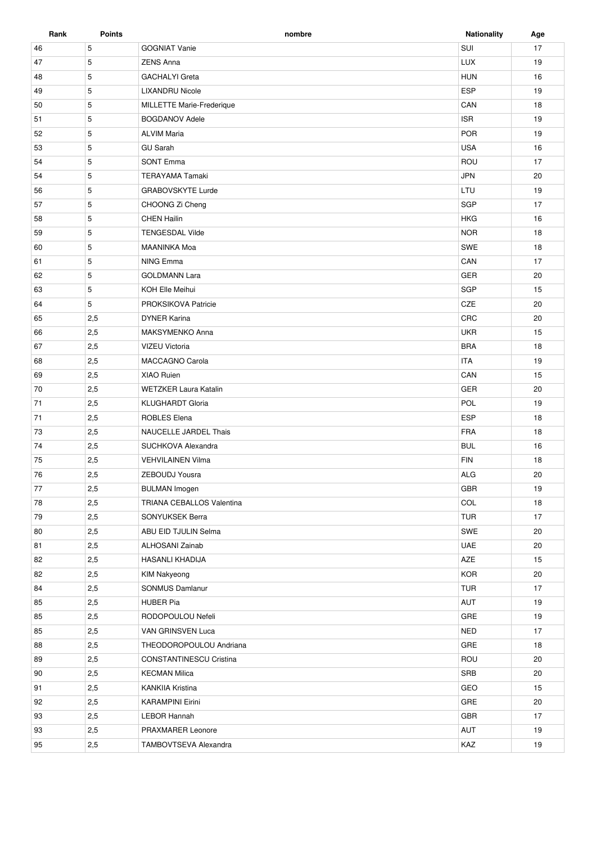| Rank | <b>Points</b> | nombre                           | <b>Nationality</b> | Age |
|------|---------------|----------------------------------|--------------------|-----|
| 46   | 5             | <b>GOGNIAT Vanie</b>             | SUI                | 17  |
| 47   | 5             | <b>ZENS Anna</b>                 | <b>LUX</b>         | 19  |
| 48   | 5             | <b>GACHALYI</b> Greta            | <b>HUN</b>         | 16  |
| 49   | 5             | <b>LIXANDRU Nicole</b>           | <b>ESP</b>         | 19  |
| 50   | 5             | <b>MILLETTE Marie-Frederique</b> | CAN                | 18  |
| 51   | 5             | <b>BOGDANOV Adele</b>            | <b>ISR</b>         | 19  |
| 52   | 5             | <b>ALVIM Maria</b>               | <b>POR</b>         | 19  |
| 53   | 5             | <b>GU Sarah</b>                  | <b>USA</b>         | 16  |
| 54   | 5             | <b>SONT Emma</b>                 | ROU                | 17  |
| 54   | 5             | <b>TERAYAMA Tamaki</b>           | <b>JPN</b>         | 20  |
| 56   | 5             | <b>GRABOVSKYTE Lurde</b>         | LTU                | 19  |
| 57   | 5             | CHOONG Zi Cheng                  | <b>SGP</b>         | 17  |
| 58   | 5             | <b>CHEN Hailin</b>               | <b>HKG</b>         | 16  |
| 59   | 5             | <b>TENGESDAL Vilde</b>           | <b>NOR</b>         | 18  |
| 60   | 5             | <b>MAANINKA Moa</b>              | SWE                | 18  |
| 61   | 5             | NING Emma                        | CAN                | 17  |
| 62   | 5             | <b>GOLDMANN Lara</b>             | GER                | 20  |
| 63   | 5             | KOH Elle Meihui                  | <b>SGP</b>         | 15  |
| 64   | 5             | PROKSIKOVA Patricie              | CZE                | 20  |
| 65   | 2,5           | <b>DYNER Karina</b>              | CRC                | 20  |
| 66   | 2,5           | MAKSYMENKO Anna                  | <b>UKR</b>         | 15  |
| 67   | 2,5           | <b>VIZEU Victoria</b>            | <b>BRA</b>         | 18  |
| 68   | 2,5           | <b>MACCAGNO Carola</b>           | <b>ITA</b>         | 19  |
| 69   | 2,5           | <b>XIAO Ruien</b>                | CAN                | 15  |
| 70   | 2,5           | <b>WETZKER Laura Katalin</b>     | <b>GER</b>         | 20  |
| 71   | 2,5           | <b>KLUGHARDT Gloria</b>          | POL                | 19  |
| 71   | 2,5           | <b>ROBLES Elena</b>              | <b>ESP</b>         | 18  |
| 73   | 2,5           | NAUCELLE JARDEL Thais            | <b>FRA</b>         | 18  |
| 74   | 2,5           | SUCHKOVA Alexandra               | <b>BUL</b>         | 16  |
| 75   | 2,5           | <b>VEHVILAINEN Vilma</b>         | <b>FIN</b>         | 18  |
| 76   | 2,5           | ZEBOUDJ Yousra                   | ALG                | 20  |
| 77   | 2,5           | <b>BULMAN Imogen</b>             | <b>GBR</b>         | 19  |
| 78   | 2,5           | TRIANA CEBALLOS Valentina        | COL                | 18  |
| 79   | 2,5           | SONYUKSEK Berra                  | <b>TUR</b>         | 17  |
| 80   | 2,5           | ABU EID TJULIN Selma             | SWE                | 20  |
| 81   | 2,5           | ALHOSANI Zainab                  | <b>UAE</b>         | 20  |
| 82   | 2,5           | HASANLI KHADIJA                  | AZE                | 15  |
| 82   | 2,5           | <b>KIM Nakyeong</b>              | <b>KOR</b>         | 20  |
| 84   | 2,5           | SONMUS Damlanur                  | <b>TUR</b>         | 17  |
| 85   | 2,5           | <b>HUBER Pia</b>                 | AUT                | 19  |
| 85   | 2,5           | RODOPOULOU Nefeli                | GRE                | 19  |
| 85   | 2,5           | VAN GRINSVEN Luca                | <b>NED</b>         | 17  |
| 88   | 2,5           | THEODOROPOULOU Andriana          | GRE                | 18  |
| 89   | 2,5           | <b>CONSTANTINESCU Cristina</b>   | ROU                | 20  |
| 90   | 2,5           | <b>KECMAN Milica</b>             | SRB                | 20  |
| 91   | 2,5           | KANKIIA Kristina                 | GEO                | 15  |
| 92   | 2,5           | <b>KARAMPINI Eirini</b>          | GRE                | 20  |
| 93   | 2,5           | <b>LEBOR Hannah</b>              | <b>GBR</b>         | 17  |
| 93   | 2,5           | PRAXMARER Leonore                | AUT                | 19  |
| 95   | 2,5           | TAMBOVTSEVA Alexandra            | KAZ                | 19  |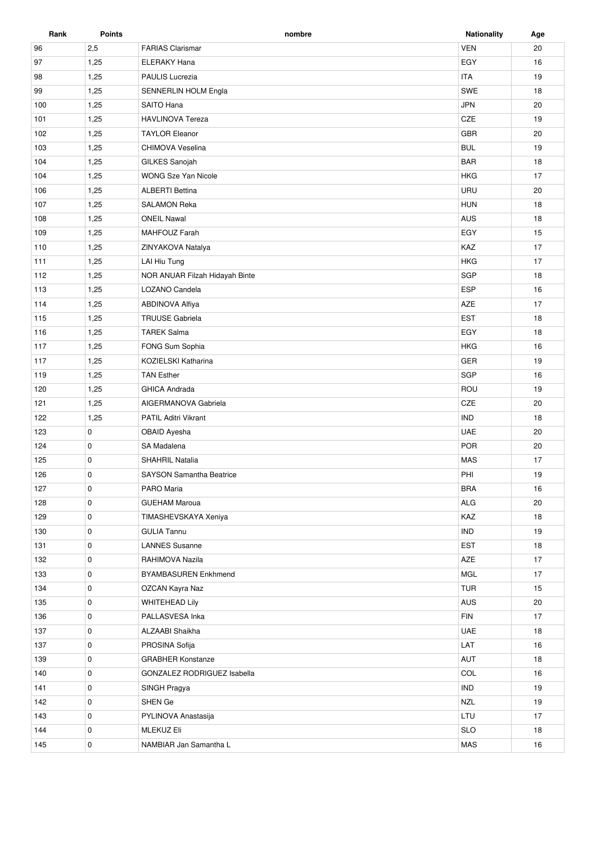| Rank | <b>Points</b> | nombre                          | <b>Nationality</b> | Age |
|------|---------------|---------------------------------|--------------------|-----|
| 96   | 2,5           | <b>FARIAS Clarismar</b>         | <b>VEN</b>         | 20  |
| 97   | 1,25          | <b>ELERAKY Hana</b>             | EGY                | 16  |
| 98   | 1,25          | <b>PAULIS Lucrezia</b>          | <b>ITA</b>         | 19  |
| 99   | 1,25          | SENNERLIN HOLM Engla            | SWE                | 18  |
| 100  | 1,25          | SAITO Hana                      | <b>JPN</b>         | 20  |
| 101  | 1,25          | <b>HAVLINOVA Tereza</b>         | CZE                | 19  |
| 102  | 1,25          | <b>TAYLOR Eleanor</b>           | GBR                | 20  |
| 103  | 1,25          | CHIMOVA Veselina                | <b>BUL</b>         | 19  |
| 104  | 1,25          | GILKES Sanojah                  | <b>BAR</b>         | 18  |
| 104  | 1,25          | <b>WONG Sze Yan Nicole</b>      | <b>HKG</b>         | 17  |
| 106  | 1,25          | <b>ALBERTI Bettina</b>          | URU                | 20  |
| 107  | 1,25          | <b>SALAMON Reka</b>             | <b>HUN</b>         | 18  |
| 108  | 1,25          | <b>ONEIL Nawal</b>              | AUS                | 18  |
| 109  | 1,25          | <b>MAHFOUZ Farah</b>            | EGY                | 15  |
| 110  | 1,25          | ZINYAKOVA Natalya               | KAZ                | 17  |
| 111  | 1,25          | LAI Hiu Tung                    | <b>HKG</b>         | 17  |
| 112  | 1,25          | NOR ANUAR Filzah Hidayah Binte  | SGP                | 18  |
| 113  | 1,25          | LOZANO Candela                  | <b>ESP</b>         | 16  |
| 114  | 1,25          | <b>ABDINOVA Alfiya</b>          | AZE                | 17  |
| 115  | 1,25          | <b>TRUUSE Gabriela</b>          | EST                | 18  |
| 116  | 1,25          | <b>TAREK Salma</b>              | EGY                | 18  |
| 117  | 1,25          | FONG Sum Sophia                 | <b>HKG</b>         | 16  |
| 117  | 1,25          | KOZIELSKI Katharina             | <b>GER</b>         | 19  |
| 119  | 1,25          | <b>TAN Esther</b>               | SGP                | 16  |
| 120  | 1,25          | <b>GHICA Andrada</b>            | ROU                | 19  |
| 121  | 1,25          | AIGERMANOVA Gabriela            | CZE                | 20  |
| 122  | 1,25          | <b>PATIL Aditri Vikrant</b>     | <b>IND</b>         | 18  |
| 123  | 0             | OBAID Ayesha                    | <b>UAE</b>         | 20  |
| 124  | 0             | SA Madalena                     | POR                | 20  |
| 125  | 0             | <b>SHAHRIL Natalia</b>          | <b>MAS</b>         | 17  |
| 126  | $\pmb{0}$     | <b>SAYSON Samantha Beatrice</b> | PHI                | 19  |
| 127  | 0             | PARO Maria                      | <b>BRA</b>         | 16  |
| 128  | 0             | <b>GUEHAM Maroua</b>            | <b>ALG</b>         | 20  |
| 129  | 0             | TIMASHEVSKAYA Xeniya            | KAZ                | 18  |
| 130  | 0             | <b>GULIA Tannu</b>              | <b>IND</b>         | 19  |
| 131  | 0             | <b>LANNES Susanne</b>           | <b>EST</b>         | 18  |
| 132  | 0             | RAHIMOVA Nazila                 | AZE                | 17  |
| 133  | 0             | <b>BYAMBASUREN Enkhmend</b>     | MGL                | 17  |
| 134  | 0             | OZCAN Kayra Naz                 | <b>TUR</b>         | 15  |
| 135  | 0             | <b>WHITEHEAD Lily</b>           | AUS                | 20  |
| 136  | 0             | PALLASVESA Inka                 | <b>FIN</b>         | 17  |
| 137  | 0             | ALZAABI Shaikha                 | UAE                | 18  |
| 137  | 0             | PROSINA Sofija                  | LAT                | 16  |
| 139  | 0             | <b>GRABHER Konstanze</b>        | AUT                | 18  |
| 140  | 0             | GONZALEZ RODRIGUEZ Isabella     | COL                | 16  |
| 141  | 0             | SINGH Pragya                    | <b>IND</b>         | 19  |
| 142  | 0             | SHEN Ge                         | <b>NZL</b>         | 19  |
| 143  | 0             | PYLINOVA Anastasija             | LTU                | 17  |
| 144  | 0             | <b>MLEKUZ Eli</b>               | <b>SLO</b>         | 18  |
| 145  | 0             | NAMBIAR Jan Samantha L          | MAS                | 16  |
|      |               |                                 |                    |     |